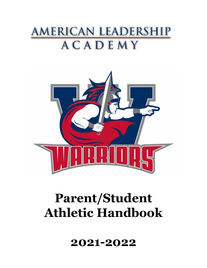# AMERICAN LEADERSHIP ACADEMY



# **Parent/Student Athletic Handbook**

**2021-2022**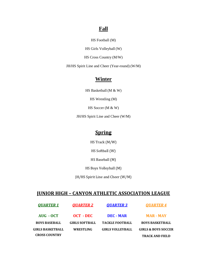# **Fall**

HS Football (M)

HS Girls Volleyball (W)

HS Cross Country (M/W)

JH/HS Spirit Line and Cheer (Year-round) (W/M)

# **Winter**

HS Basketball (M & W)

HS Wrestling (M)

HS Soccer (M & W)

JH/HS Spirit Line and Cheer (W/M)

# **Spring**

HS Track (M/W)

HS Softball (W)

HS Baseball (M)

HS Boys Volleyball (M)

JH/HS Spirit Line and Cheer (W/M)

### **JUNIOR HIGH – CANYON ATHLETIC ASSOCIATION LEAGUE**

| <b>OUARTER 1</b>     | <b>OUARTER 2</b>      | <b>OUARTER 3</b>        | <b>OUARTER 4</b>               |
|----------------------|-----------------------|-------------------------|--------------------------------|
| AUG - OCT            | OCT - DEC             | DEC - MAR               | <b>MAR - MAY</b>               |
| <b>BOYS BASEBALL</b> | <b>GIRLS SOFTBALL</b> | <b>TACKLE FOOTBALL</b>  | <b>BOYS BASKETBALL</b>         |
| GIRLS BASKETBALL     | WRESTLING             | <b>GIRLS VOLLEYBALL</b> | <b>GIRLS &amp; BOYS SOCCER</b> |
| <b>CROSS COUNTRY</b> |                       |                         | <b>TRACK AND FIELD</b>         |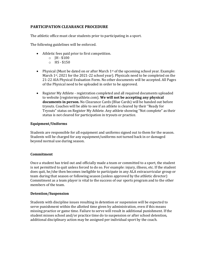#### **PARTICIPATION CLEARANCE PROCEDURE**

The athletic office must clear students prior to participating in a sport.

The following guidelines will be enforced.

- Athletic fees paid prior to first competition.
	- $\circ$  JH \$100
	- o HS \$150
- Physical (Must be dated on or after March  $1<sup>st</sup>$  of the upcoming school year. Example: March  $1^{st}$ , 2021 for the 2021-22 school year). Physicals need to be completed on the 21-22 AIA Physical Evaluation Form. No other documents will be accepted. All Pages of the Physical need to be uploaded in order to be approved.
- Register My Athlete registration completed and all required documents uploaded to website (registermyathlete.com). **We will not be accepting any physical documents in person.** No Clearance Cards (Blue Cards) will be handed out before tryouts. Coaches will be able to see if an athlete is cleared by their "Ready for Tryouts" status on Register My Athlete. Any athlete showing "Not complete" as their status is not cleared for participation in tryouts or practice.

#### **Equipment/Uniforms**

Students are responsible for all equipment and uniforms signed out to them for the season. Students will be charged for any equipment/uniforms not turned back in or damaged beyond normal use during season.

#### **Commitment**

Once a student has tried out and officially made a team or committed to a sport, the student is not permitted to quit unless forced to do so. For example: injury, illness, etc. If the student does quit, he/she then becomes ineligible to participate in any ALA extracurricular group or team during that season or following season (unless approved by the athletic director) Commitment as a team player is vital to the success of our sports program and to the other members of the team.

#### **Detention/Suspension**

Students with discipline issues resulting in detention or suspension will be expected to serve punishment within the allotted time given by administration, even if this means missing practice or game time. Failure to serve will result in additional punishment. If the student misses school and/or practice time do to suspension or after school detention, additional disciplinary action may be assigned per individual sport by the coach.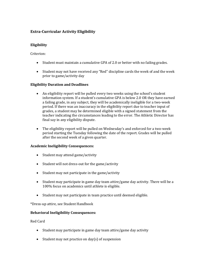### **Extra-Curricular Activity Eligibility**

#### **Eligibility**

#### Criterion:

- Student must maintain a cumulative GPA of 2.0 or better with no failing grades.
- Student may not have received any "Red" discipline cards the week of and the week prior to game/activity day

#### **Eligibility Duration and Deadlines**

- An eligibility report will be pulled every two weeks using the school's student information system. If a student's cumulative GPA is below 2.0 OR they have earned a failing grade, in any subject, they will be academically ineligible for a two-week period. If there was an inaccuracy in the eligibility report due to teacher input of grades, a student may be determined eligible with a signed statement from the teacher indicating the circumstances leading to the error. The Athletic Director has final say in any eligibility dispute.
- The eligibility report will be pulled on Wednesday's and enforced for a two-week period starting the Tuesday following the date of the report. Grades will be pulled after the second week of a given quarter.

#### **Academic Ineligibility Consequences:**

- Student may attend game/activity
- Student will not dress-out for the game/activity
- Student may not participate in the game/activity
- Student may participate in game day team attire/game day activity. There will be a 100% focus on academics until athlete is eligible.
- Student may not participate in team practice until deemed eligible.

\*Dress-up attire, see Student Handbook

#### **Behavioral Ineligibility Consequences:**

Red Card

- Student may participate in game day team attire/game day activity
- Student may not practice on day(s) of suspension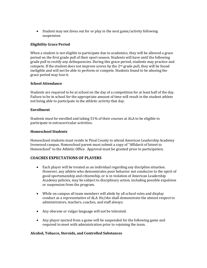• Student may not dress out for or play in the next game/activity following suspension

#### **Eligibility Grace Period**

When a student is not eligible to participate due to academics, they will be allowed a grace period on the first grade pull of their sport season. Students will have until the following grade pull to rectify any delinquencies. During this grace period, students may practice and compete. If the student does not improve scores by the  $2<sup>nd</sup>$  grade pull, they will be found ineligible and will not be able to perform or compete. Students found to be abusing the grace period may lose it.

#### **School Attendance**

Students are required to be at school on the day of a competition for at least half of the day. Failure to be in school for the appropriate amount of time will result in the student athlete not being able to participate in the athletic activity that day.

#### **Enrollment**

Students must be enrolled and taking 51% of their courses at ALA to be eligible to participate in extracurricular activities.

#### **Homeschool Students**

Homeschool students must reside in Pinal County to attend American Leadership Academy Ironwood campus. Homeschool parent must submit a copy of "Affidavit of Intent to Homeschool" to the Athletic Office. Approval must be granted prior to participation.

#### **COACHES EXPECTATIONS OF PLAYERS**

- Each player will be treated as an individual regarding any discipline situation. However, any athlete who demonstrates poor behavior not conducive to the spirit of good sportsmanship and citizenship, or is in violation of American Leadership Academy policies, may be subject to disciplinary action, including possible expulsion or suspension from the program.
- While on campus all team members will abide by all school rules and display conduct as a representative of ALA. He/she shall demonstrate the utmost respect to administrators, teachers, coaches, and staff always.
- Any obscene or vulgar language will not be tolerated.
- Any player ejected from a game will be suspended for the following game and required to meet with administration prior to rejoining the team.

#### **Alcohol, Tobacco, Steroids, and Controlled Substances**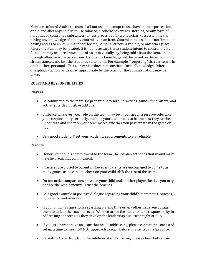Members of an ALA athletic team shall not use or attempt to use, have in their possession, or aid and abet anyone else to use tobacco, alcoholic beverages, steroids, or any form of narcotics or controlled substances, unless prescribed by a physician. Possession means having any knowledge of, or any control over, an item. Control includes, but is not limited to, having access to an item in a school locker, personal effects, a vehicle, or any other place where the item may be located. It is not necessary that a student intend to control the item. A student may acquire knowledge of an item visually, by being told about the item, or through other sensory perception. A student's knowledge will be based on the surrounding circumstances, not just the student's statements. For example, "forgetting" that an item is in one's locker, personal effects, or vehicle does not constitute lack of knowledge. Other disciplinary action, as deemed appropriate by the coach or the administration, may be taken.

#### **ROLES AND RESPONSIBILITIES**

#### **Players**

- Be committed to the team. Be prepared. Attend all practices, games, fundraisers, and activities with a positive attitude.
- Embrace whatever your role on the team may be. If you are in a reserve role, take your responsibility seriously, pushing your teammates to be the best they can be. Encourage and cheer on your teammates, whether you participate in the game or not.
- Be a good student. Meet your academic requirements to stay eligible.

#### **Parents**

- Honor your child's commitment to the team. Do not plan activities that would make he/she break that commitment.
- Practices are closed to parents. However, parents are encouraged to come to as many games as possible to cheer on your child AND the rest of the team.
- Do not make comparisons between your child and another player. Realize you may not see the whole picture. Trust the coaches.
- Be a good example of positive dialogue regarding your child's teammates, coaches, opponents, and referees.
- If your child has questions regarding playing time or any other issue, encourage them to talk to the coach directly. We love to see the students take responsibility in addressing concerns, as they develop the leadership qualities taught at ALA.
- If you as a parent have an issue that needs addressing, please contact the coach and set up a time to meet. DO NOT approach a coach before or after a game/practice.
- Parents, NO coaching from the sidelines, it is distracting. Please cheer but refrain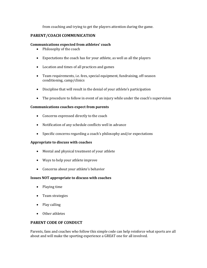from coaching and trying to get the players attention during the game.

#### **PARENT/COACH COMMUNICATION**

#### **Communications expected from athletes' coach**

- Philosophy of the coach
- Expectations the coach has for your athlete, as well as all the players
- Location and times of all practices and games
- Team requirements, i.e. fees, special equipment, fundraising, off-season conditioning, camp/clinics
- Discipline that will result in the denial of your athlete's participation
- The procedure to follow in event of an injury while under the coach's supervision

#### **Communications coaches expect from parents**

- Concerns expressed directly to the coach
- Notification of any schedule conflicts well in advance
- Specific concerns regarding a coach's philosophy and/or expectations

#### **Appropriate to discuss with coaches**

- Mental and physical treatment of your athlete
- Ways to help your athlete improve
- Concerns about your athlete's behavior

#### **Issues NOT appropriate to discuss with coaches**

- Playing time
- Team strategies
- Play calling
- Other athletes

#### **PARENT CODE OF CONDUCT**

Parents, fans and coaches who follow this simple code can help reinforce what sports are all about and will make the sporting experience a GREAT one for all involved.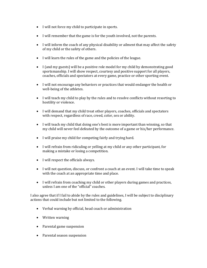- I will not force my child to participate in sports.
- I will remember that the game is for the youth involved, not the parents.
- I will inform the coach of any physical disability or ailment that may affect the safety of my child or the safety of others.
- I will learn the rules of the game and the policies of the league.
- I (and my guests) will be a positive role model for my child by demonstrating good sportsmanship. I will show respect, courtesy and positive support for all players, coaches, officials and spectators at every game, practice or other sporting event.
- I will not encourage any behaviors or practices that would endanger the health or well-being of the athletes.
- I will teach my child to play by the rules and to resolve conflicts without resorting to hostility or violence.
- I will demand that my child treat other players, coaches, officials and spectators with respect, regardless of race, creed, color, sex or ability.
- I will teach my child that doing one's best is more important than winning, so that my child will never feel defeated by the outcome of a game or his/her performance.
- I will praise my child for competing fairly and trying hard.
- I will refrain from ridiculing or yelling at my child or any other participant, for making a mistake or losing a competition.
- I will respect the officials always.
- I will not question, discuss, or confront a coach at an event. I will take time to speak with the coach at an appropriate time and place.
- I will refrain from coaching my child or other players during games and practices, unless I am one of the "official" coaches.

I also agree that if I fail to abide by the rules and guidelines, I will be subject to disciplinary actions that could include but not limited to the following.

- Verbal warning by official, head coach or administration
- Written warning
- Parental game suspension
- Parental season suspension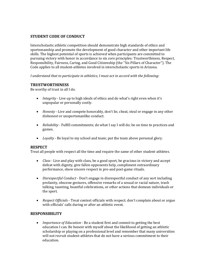#### **STUDENT CODE OF CONDUCT**

Interscholastic athletic competition should demonstrate high standards of ethics and sportsmanship and promote the development of good character and other important life skills. The highest potential of sports is achieved when participants are committed to pursuing victory with honor in accordance to six core principles: Trustworthiness, Respect, Responsibility, Fairness, Caring, and Good Citizenship (the "Six Pillars of Character"). The Code applies to all student-athletes involved in interscholastic sports in Arizona.

*I understand that to participate in athletics, I must act in accord with the following:*

#### **TRUSTWORTHINESS**

Be worthy of trust in all I do.

- *Integrity* Live up to high ideals of ethics and do what's right even when it's unpopular or personally costly.
- *Honesty* Live and compete honorably, don't lie, cheat, steal or engage in any other dishonest or unsportsmanlike conduct.
- *Reliability* Fulfill commitments; do what I say I will do; be on time to practices and games.
- *Loyalty* Be loyal to my school and team; put the team above personal glory.

#### **RESPECT**

Treat all people with respect all the time and require the same of other student-athletes.

- *Class* Live and play with class, be a good sport, be gracious in victory and accept defeat with dignity, give fallen opponents help, compliment extraordinary performance, show sincere respect in pre-and post-game rituals.
- *Disrespectful Conduct* Don't engage in disrespectful conduct of any sort including profanity, obscene gestures, offensive remarks of a sexual or racial nature, trash talking, taunting, boastful celebrations, or other actions that demean individuals or the sport.
- *Respect Officials* Treat contest officials with respect; don't complain about or argue with officials' calls during or after an athletic event.

#### **RESPONSIBILITY**

• *Importance of Education* - Be a student first and commit to getting the best education I can. Be honest with myself about the likelihood of getting an athletic scholarship or playing on a professional level and remember that many universities will not recruit student-athletes that do not have a serious commitment to their education.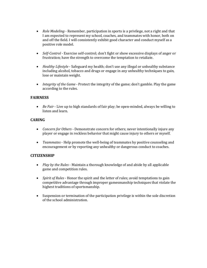- *Role Modeling* Remember, participation in sports is a privilege, not a right and that I am expected to represent my school, coaches, and teammates with honor, both on and off the field. I will consistently exhibit good character and conduct myself as a positive role model.
- *Self*-*Control* Exercise self-control; don't fight or show excessive displays of anger or frustration; have the strength to overcome the temptation to retaliate.
- *Healthy Lifestyle* Safeguard my health; don't use any illegal or unhealthy substance including alcohol, tobacco and drugs or engage in any unhealthy techniques to gain, lose or maintain weight.
- *Integrity of the Game* Protect the integrity of the game; don't gamble. Play the game according to the rules.

#### **FAIRNESS**

• *Be Fair* - Live up to high standards of fair play; be open-minded, always be willing to listen and learn.

#### **CARING**

- *Concern for Others* Demonstrate concern for others; never intentionally injure any player or engage in reckless behavior that might cause injury to others or myself.
- *Teammates* Help promote the well-being of teammates by positive counseling and encouragement or by reporting any unhealthy or dangerous conduct to coaches.

#### **CITIZENSHIP**

- *Play by the Rules* Maintain a thorough knowledge of and abide by all applicable game and competition rules.
- *Spirit of Rules* Honor the spirit and the letter of rules; avoid temptations to gain competitive advantage through improper gamesmanship techniques that violate the highest traditions of sportsmanship.
- Suspension or termination of the participation privilege is within the sole discretion of the school administration.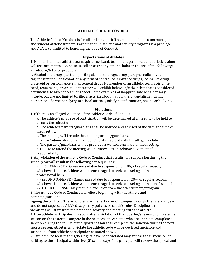#### **ATHLETIC CODE OF CONDUCT**

The Athletic Code of Conduct is for all athletes, spirit line, band members, team managers and student athletic trainers. Participation in athletic and activity programs is a privilege and ALA is committed to honoring the Code of Conduct.

#### **Expectations of Athletes**

1. No member of an athletic team, spirit line, band, team manager or student athletic trainer will use, attempt to use, possess, sell or assist any other scholar in the use of the following: a. Tobacco/tobacco products

b. Alcohol and drugs (i.e. transporting alcohol or drugs/drugs paraphernalia in your car, consumption of alcohol, or any form of controlled substance drugs/look-alike drugs.) c. Steroid or performance enhancement drugs No member of an athletic team, spirit line, band, team manager, or student trainer will exhibit behavior/citizenship that is considered detrimental to his/her team or school. Some examples of inappropriate behavior may include, but are not limited to, illegal acts, insubordination, theft, vandalism, fighting, possession of a weapon, lying to school officials, falsifying information, hazing or bullying.

#### **Violations**

1. If there is an alleged violation of the Athletic Code of Conduct:

a. The athlete's privilege of participation will be determined at a meeting to be held to discuss the infraction

b. The athlete's parents/guardians shall be notified and advised of the date and time of the meeting.

c. The meeting will include the athlete, parents/guardians, athletic

director/administration and school officials involved with the alleged violation.

d. The parents/guardians will be provided a written summary of the meeting. e. Failure to attend the meeting will be viewed as an acknowledgement of responsibility.

2. Any violation of the Athletic Code of Conduct that results in a suspension during the school year will result in the following consequences:

> FIRST OFFENSE - Games missed due to suspension or 10% of regular season, whichever is more. Athlete will be encouraged to seek counseling and/or professional help.

>> SECOND OFFENSE - Games missed due to suspension or 20% of regular season, whichever is more. Athlete will be encouraged to seek counseling and/or professional >> THIRD OFFENSE - May result in exclusion from the athletic team/program.

3. The Athletic Code of Conduct is in effect beginning with the athlete and parents/guardians

signing the contract. These policies are in effect on or off campus through the calendar year and do not supersede ALA's disciplinary policies or coach's rules. Discipline for violations will start from the point of discovery and meeting with the athlete.

4. If an athlete participates in a sport after a violation of the code, he/she must complete the season on the roster to compete in the next season. Athletes who are unable to complete a sanction during the course of the sports season shall complete the sanction during the next sports season. Athletes who violate the athletic code will be declared ineligible and suspended from athletic participation as stated above.

An athlete who feels that his/her rights have been violated may appeal the suspension, in writing, to the principal within five (5) school days. The principal will review the appeal and